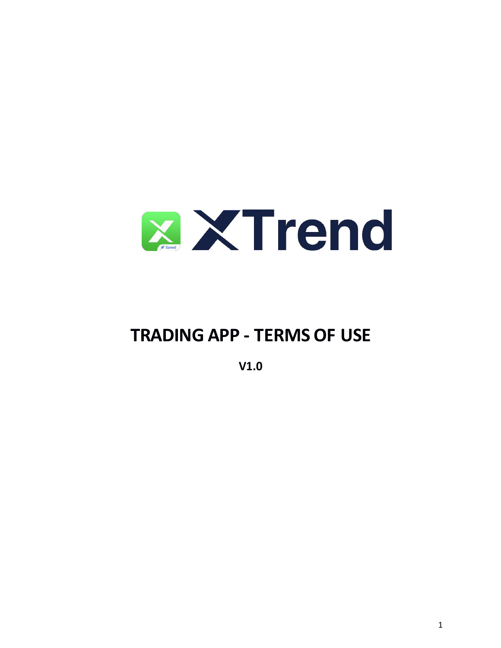

# **TRADING APP - TERMS OF USE**

**V1.0**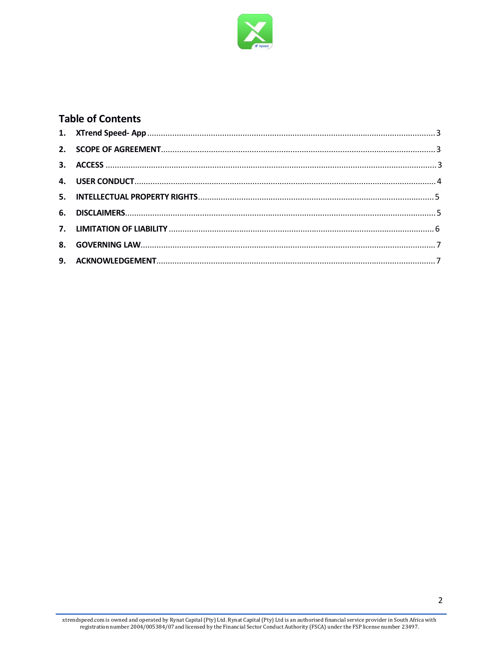

# **Table of Contents**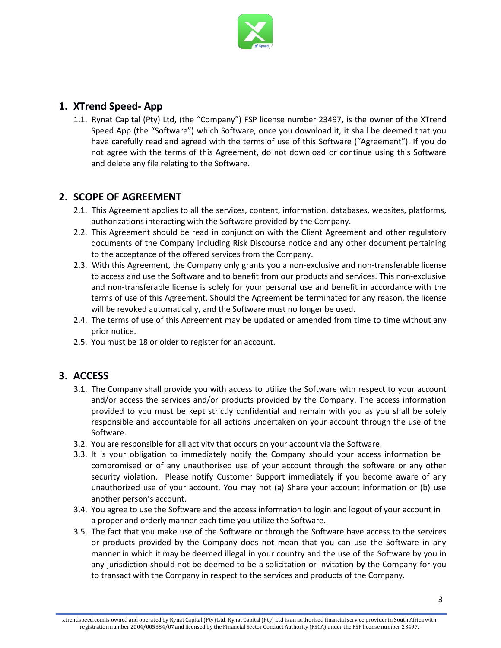

## **1. XTrend Speed- App**

1.1. Rynat Capital (Pty) Ltd, (the "Company") FSP license number 23497, is the owner of the XTrend Speed App (the "Software") which Software, once you download it, it shall be deemed that you have carefully read and agreed with the terms of use of this Software ("Agreement"). If you do not agree with the terms of this Agreement, do not download or continue using this Software and delete any file relating to the Software.

## **2. SCOPE OF AGREEMENT**

- 2.1. This Agreement applies to all the services, content, information, databases, websites, platforms, authorizations interacting with the Software provided by the Company.
- 2.2. This Agreement should be read in conjunction with the Client Agreement and other regulatory documents of the Company including Risk Discourse notice and any other document pertaining to the acceptance of the offered services from the Company.
- 2.3. With this Agreement, the Company only grants you a non-exclusive and non-transferable license to access and use the Software and to benefit from our products and services. This non-exclusive and non-transferable license is solely for your personal use and benefit in accordance with the terms of use of this Agreement. Should the Agreement be terminated for any reason, the license will be revoked automatically, and the Software must no longer be used.
- 2.4. The terms of use of this Agreement may be updated or amended from time to time without any prior notice.
- 2.5. You must be 18 or older to register for an account.

## **3. ACCESS**

- 3.1. The Company shall provide you with access to utilize the Software with respect to your account and/or access the services and/or products provided by the Company. The access information provided to you must be kept strictly confidential and remain with you as you shall be solely responsible and accountable for all actions undertaken on your account through the use of the Software.
- 3.2. You are responsible for all activity that occurs on your account via the Software.
- 3.3. It is your obligation to immediately notify the Company should your access information be compromised or of any unauthorised use of your account through the software or any other security violation. Please notify Customer Support immediately if you become aware of any unauthorized use of your account. You may not (a) Share your account information or (b) use another person's account.
- 3.4. You agree to use the Software and the access information to login and logout of your account in a proper and orderly manner each time you utilize the Software.
- 3.5. The fact that you make use of the Software or through the Software have access to the services or products provided by the Company does not mean that you can use the Software in any manner in which it may be deemed illegal in your country and the use of the Software by you in any jurisdiction should not be deemed to be a solicitation or invitation by the Company for you to transact with the Company in respect to the services and products of the Company.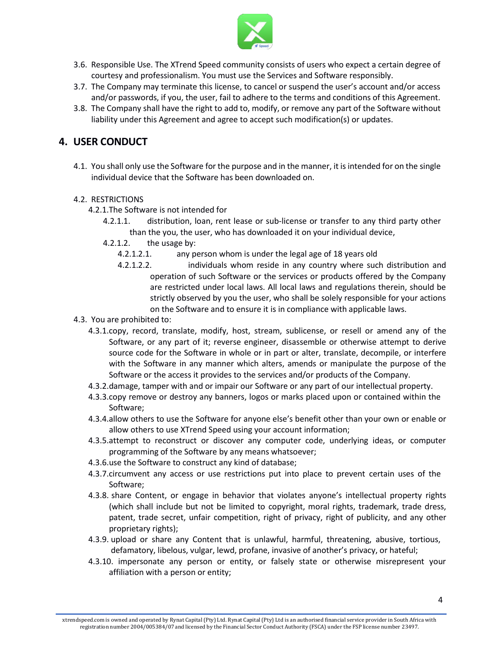

- 3.6. Responsible Use. The XTrend Speed community consists of users who expect a certain degree of courtesy and professionalism. You must use the Services and Software responsibly.
- 3.7. The Company may terminate this license, to cancel or suspend the user's account and/or access and/or passwords, if you, the user, fail to adhere to the terms and conditions of this Agreement.
- 3.8. The Company shall have the right to add to, modify, or remove any part of the Software without liability under this Agreement and agree to accept such modification(s) or updates.

## **4. USER CONDUCT**

4.1. You shall only use the Software for the purpose and in the manner, it isintended for on the single individual device that the Software has been downloaded on.

#### 4.2. RESTRICTIONS

- 4.2.1.The Software is not intended for
	- 4.2.1.1. distribution, loan, rent lease or sub-license or transfer to any third party other than the you, the user, who has downloaded it on your individual device,
	- 4.2.1.2. the usage by:
		- 4.2.1.2.1. any person whom is under the legal age of 18 years old
		- 4.2.1.2.2. individuals whom reside in any country where such distribution and operation of such Software or the services or products offered by the Company are restricted under local laws. All local laws and regulations therein, should be strictly observed by you the user, who shall be solely responsible for your actions on the Software and to ensure it is in compliance with applicable laws.
- 4.3. You are prohibited to:
	- 4.3.1.copy, record, translate, modify, host, stream, sublicense, or resell or amend any of the Software, or any part of it; reverse engineer, disassemble or otherwise attempt to derive source code for the Software in whole or in part or alter, translate, decompile, or interfere with the Software in any manner which alters, amends or manipulate the purpose of the Software or the access it provides to the services and/or products of the Company.
	- 4.3.2.damage, tamper with and or impair our Software or any part of our intellectual property.
	- 4.3.3.copy remove or destroy any banners, logos or marks placed upon or contained within the Software;
	- 4.3.4.allow others to use the Software for anyone else's benefit other than your own or enable or allow others to use XTrend Speed using your account information;
	- 4.3.5.attempt to reconstruct or discover any computer code, underlying ideas, or computer programming of the Software by any means whatsoever;
	- 4.3.6.use the Software to construct any kind of database;
	- 4.3.7.circumvent any access or use restrictions put into place to prevent certain uses of the Software;
	- 4.3.8. share Content, or engage in behavior that violates anyone's intellectual property rights (which shall include but not be limited to copyright, moral rights, trademark, trade dress, patent, trade secret, unfair competition, right of privacy, right of publicity, and any other proprietary rights);
	- 4.3.9. upload or share any Content that is unlawful, harmful, threatening, abusive, tortious, defamatory, libelous, vulgar, lewd, profane, invasive of another's privacy, or hateful;
	- 4.3.10. impersonate any person or entity, or falsely state or otherwise misrepresent your affiliation with a person or entity;

xtrendspeed.com is owned and operated by RynatCapital (Pty) Ltd. Rynat Capital (Pty) Ltd is an authorised financial service provider in South Africa with registration number 2004/005384/07 and licensed by the Financial Sector Conduct Authority (FSCA) under the FSP license number 23497.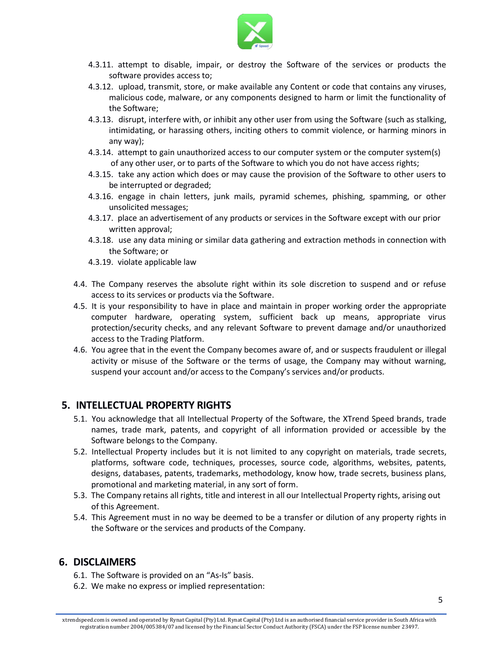

- 4.3.11. attempt to disable, impair, or destroy the Software of the services or products the software provides access to;
- 4.3.12. upload, transmit, store, or make available any Content or code that contains any viruses, malicious code, malware, or any components designed to harm or limit the functionality of the Software;
- 4.3.13. disrupt, interfere with, or inhibit any other user from using the Software (such as stalking, intimidating, or harassing others, inciting others to commit violence, or harming minors in any way);
- 4.3.14. attempt to gain unauthorized access to our computer system or the computer system(s) of any other user, or to parts of the Software to which you do not have access rights;
- 4.3.15. take any action which does or may cause the provision of the Software to other users to be interrupted or degraded;
- 4.3.16. engage in chain letters, junk mails, pyramid schemes, phishing, spamming, or other unsolicited messages;
- 4.3.17. place an advertisement of any products or services in the Software except with our prior written approval;
- 4.3.18. use any data mining or similar data gathering and extraction methods in connection with the Software; or
- 4.3.19. violate applicable law
- 4.4. The Company reserves the absolute right within its sole discretion to suspend and or refuse access to its services or products via the Software.
- 4.5. It is your responsibility to have in place and maintain in proper working order the appropriate computer hardware, operating system, sufficient back up means, appropriate virus protection/security checks, and any relevant Software to prevent damage and/or unauthorized access to the Trading Platform.
- 4.6. You agree that in the event the Company becomes aware of, and or suspects fraudulent or illegal activity or misuse of the Software or the terms of usage, the Company may without warning, suspend your account and/or access to the Company's services and/or products.

## **5. INTELLECTUAL PROPERTY RIGHTS**

- 5.1. You acknowledge that all Intellectual Property of the Software, the XTrend Speed brands, trade names, trade mark, patents, and copyright of all information provided or accessible by the Software belongs to the Company.
- 5.2. Intellectual Property includes but it is not limited to any copyright on materials, trade secrets, platforms, software code, techniques, processes, source code, algorithms, websites, patents, designs, databases, patents, trademarks, methodology, know how, trade secrets, business plans, promotional and marketing material, in any sort of form.
- 5.3. The Company retains all rights, title and interest in all our Intellectual Property rights, arising out of this Agreement.
- 5.4. This Agreement must in no way be deemed to be a transfer or dilution of any property rights in the Software or the services and products of the Company.

## **6. DISCLAIMERS**

- 6.1. The Software is provided on an "As-Is" basis.
- 6.2. We make no express or implied representation: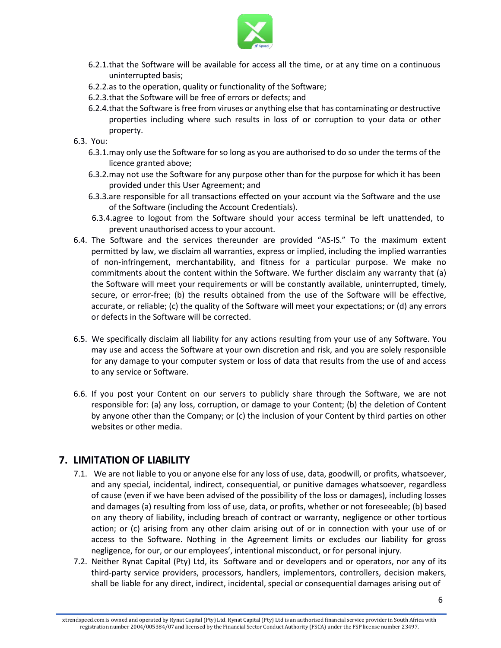

- 6.2.1.that the Software will be available for access all the time, or at any time on a continuous uninterrupted basis;
- 6.2.2.as to the operation, quality or functionality of the Software;
- 6.2.3.that the Software will be free of errors or defects; and
- 6.2.4.that the Software isfree from viruses or anything else that has contaminating or destructive properties including where such results in loss of or corruption to your data or other property.
- 6.3. You:
	- 6.3.1. may only use the Software for so long as you are authorised to do so under the terms of the licence granted above;
	- 6.3.2.may not use the Software for any purpose other than for the purpose for which it has been provided under this User Agreement; and
	- 6.3.3.are responsible for all transactions effected on your account via the Software and the use of the Software (including the Account Credentials).
	- 6.3.4.agree to logout from the Software should your access terminal be left unattended, to prevent unauthorised access to your account.
- 6.4. The Software and the services thereunder are provided "AS-IS." To the maximum extent permitted by law, we disclaim all warranties, express or implied, including the implied warranties of non-infringement, merchantability, and fitness for a particular purpose. We make no commitments about the content within the Software. We further disclaim any warranty that (a) the Software will meet your requirements or will be constantly available, uninterrupted, timely, secure, or error-free; (b) the results obtained from the use of the Software will be effective, accurate, or reliable; (c) the quality of the Software will meet your expectations; or (d) any errors or defects in the Software will be corrected.
- 6.5. We specifically disclaim all liability for any actions resulting from your use of any Software. You may use and access the Software at your own discretion and risk, and you are solely responsible for any damage to your computer system or loss of data that results from the use of and access to any service or Software.
- 6.6. If you post your Content on our servers to publicly share through the Software, we are not responsible for: (a) any loss, corruption, or damage to your Content; (b) the deletion of Content by anyone other than the Company; or (c) the inclusion of your Content by third parties on other websites or other media.

## **7. LIMITATION OF LIABILITY**

- 7.1. We are not liable to you or anyone else for any loss of use, data, goodwill, or profits, whatsoever, and any special, incidental, indirect, consequential, or punitive damages whatsoever, regardless of cause (even if we have been advised of the possibility of the loss or damages), including losses and damages (a) resulting from loss of use, data, or profits, whether or not foreseeable; (b) based on any theory of liability, including breach of contract or warranty, negligence or other tortious action; or (c) arising from any other claim arising out of or in connection with your use of or access to the Software. Nothing in the Agreement limits or excludes our liability for gross negligence, for our, or our employees', intentional misconduct, or for personal injury.
- 7.2. Neither Rynat Capital (Pty) Ltd, its Software and or developers and or operators, nor any of its third-party service providers, processors, handlers, implementors, controllers, decision makers, shall be liable for any direct, indirect, incidental, special or consequential damages arising out of

xtrendspeed.com is owned and operated by RynatCapital (Pty) Ltd. Rynat Capital (Pty) Ltd is an authorised financial service provider in South Africa with registration number 2004/005384/07 and licensed by the Financial Sector Conduct Authority (FSCA) under the FSP license number 23497.